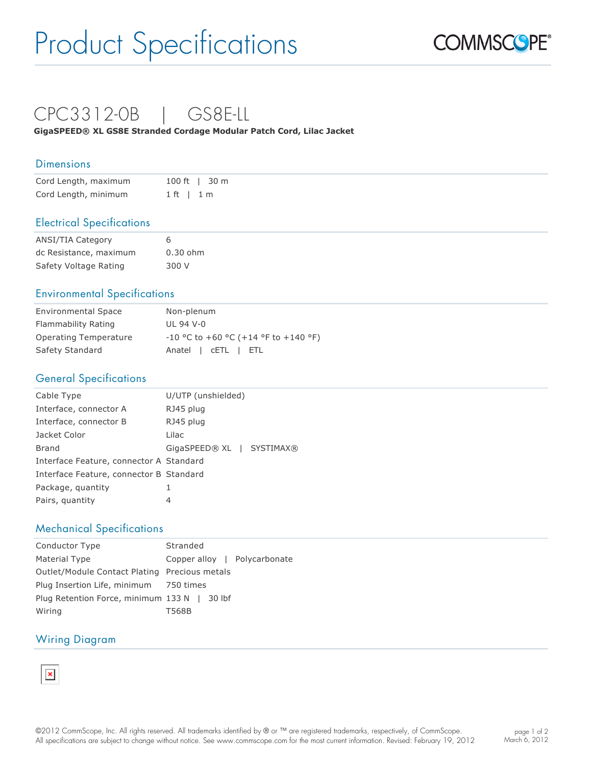# Product Specifications



### CPC3312-0B | GS8E-LL

**GigaSPEED® XL GS8E Stranded Cordage Modular Patch Cord, Lilac Jacket**

#### **Dimensions**

| Cord Length, maximum |              | 100 ft   30 m |
|----------------------|--------------|---------------|
| Cord Length, minimum | $1$ ft $1$ m |               |

#### Electrical Specifications

| <b>ANSI/TIA Category</b> | 6          |
|--------------------------|------------|
| dc Resistance, maximum   | $0.30$ ohm |
| Safety Voltage Rating    | 300 V      |

#### Environmental Specifications

| <b>Environmental Space</b> | Non-plenum                             |
|----------------------------|----------------------------------------|
| Flammability Rating        | UL 94 V-0                              |
| Operating Temperature      | $-10$ °C to +60 °C (+14 °F to +140 °F) |
| Safety Standard            | Anatel   CETL   ETL                    |

#### General Specifications

| Cable Type                              | U/UTP (unshielded)                |
|-----------------------------------------|-----------------------------------|
| Interface, connector A                  | RJ45 plug                         |
| Interface, connector B                  | RJ45 plug                         |
| Jacket Color                            | Lilac                             |
| <b>Brand</b>                            | GigaSPEED® XL<br><b>SYSTIMAX®</b> |
| Interface Feature, connector A Standard |                                   |
| Interface Feature, connector B Standard |                                   |
| Package, quantity                       |                                   |
| Pairs, quantity                         | 4                                 |

#### Mechanical Specifications

| Conductor Type                                | Stranded                     |
|-----------------------------------------------|------------------------------|
| Material Type                                 | Copper alloy   Polycarbonate |
| Outlet/Module Contact Plating Precious metals |                              |
| Plug Insertion Life, minimum 750 times        |                              |
| Plug Retention Force, minimum 133 N   30 lbf  |                              |
| Wiring                                        | T568B                        |

#### Wiring Diagram